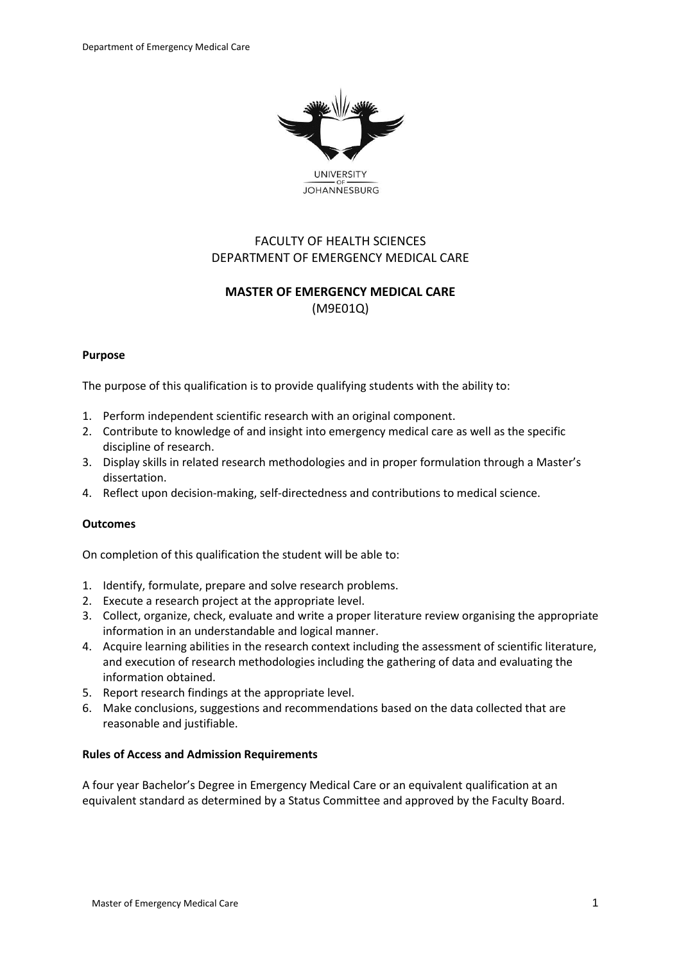

**UNIVERSITY JOHANNESBURG** 

# FACULTY OF HEALTH SCIENCES DEPARTMENT OF EMERGENCY MEDICAL CARE

# **MASTER OF EMERGENCY MEDICAL CARE** (M9E01Q)

### **Purpose**

The purpose of this qualification is to provide qualifying students with the ability to:

- 1. Perform independent scientific research with an original component.
- 2. Contribute to knowledge of and insight into emergency medical care as well as the specific discipline of research.
- 3. Display skills in related research methodologies and in proper formulation through a Master's dissertation.
- 4. Reflect upon decision-making, self-directedness and contributions to medical science.

### **Outcomes**

On completion of this qualification the student will be able to:

- 1. Identify, formulate, prepare and solve research problems.
- 2. Execute a research project at the appropriate level.
- 3. Collect, organize, check, evaluate and write a proper literature review organising the appropriate information in an understandable and logical manner.
- 4. Acquire learning abilities in the research context including the assessment of scientific literature, and execution of research methodologies including the gathering of data and evaluating the information obtained.
- 5. Report research findings at the appropriate level.
- 6. Make conclusions, suggestions and recommendations based on the data collected that are reasonable and justifiable.

### **Rules of Access and Admission Requirements**

A four year Bachelor's Degree in Emergency Medical Care or an equivalent qualification at an equivalent standard as determined by a Status Committee and approved by the Faculty Board.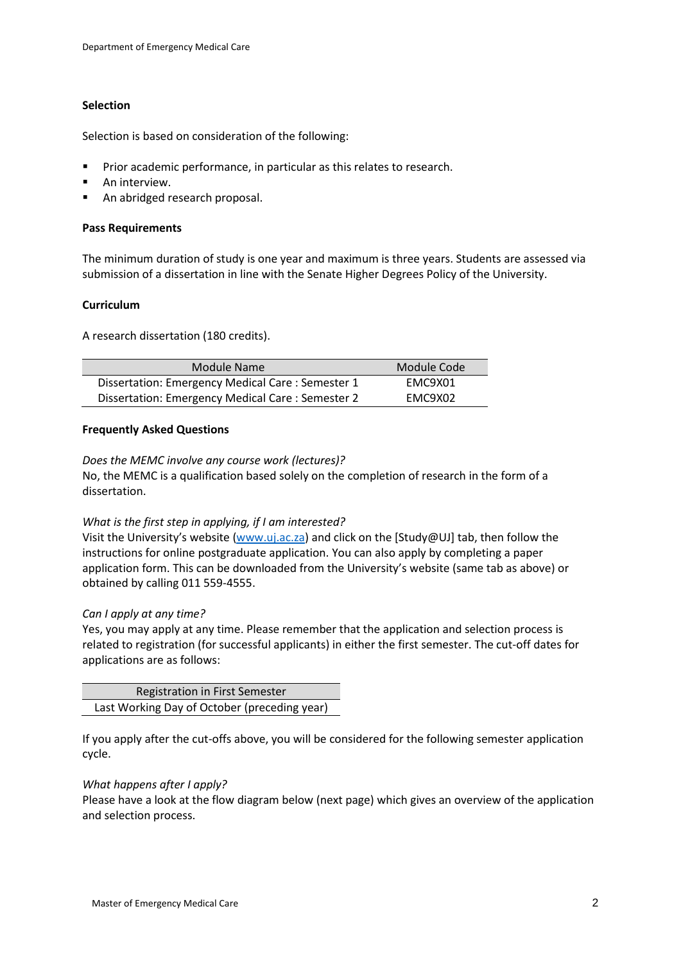### **Selection**

Selection is based on consideration of the following:

- **Prior academic performance, in particular as this relates to research.**
- **An interview.**
- An abridged research proposal.

### **Pass Requirements**

The minimum duration of study is one year and maximum is three years. Students are assessed via submission of a dissertation in line with the Senate Higher Degrees Policy of the University.

### **Curriculum**

A research dissertation (180 credits).

| Module Name                                      | Module Code |
|--------------------------------------------------|-------------|
| Dissertation: Emergency Medical Care: Semester 1 | FMC9X01     |
| Dissertation: Emergency Medical Care: Semester 2 | FMC9X02     |

### **Frequently Asked Questions**

*Does the MEMC involve any course work (lectures)?*

No, the MEMC is a qualification based solely on the completion of research in the form of a dissertation.

### *What is the first step in applying, if I am interested?*

Visit the University's website ([www.uj.ac.za\)](http://www.uj.ac.za/) and click on the [Study@UJ] tab, then follow the instructions for online postgraduate application. You can also apply by completing a paper application form. This can be downloaded from the University's website (same tab as above) or obtained by calling 011 559-4555.

### *Can I apply at any time?*

Yes, you may apply at any time. Please remember that the application and selection process is related to registration (for successful applicants) in either the first semester. The cut-off dates for applications are as follows:

| <b>Registration in First Semester</b>        |
|----------------------------------------------|
| Last Working Day of October (preceding year) |

If you apply after the cut-offs above, you will be considered for the following semester application cycle.

### *What happens after I apply?*

Please have a look at the flow diagram below (next page) which gives an overview of the application and selection process.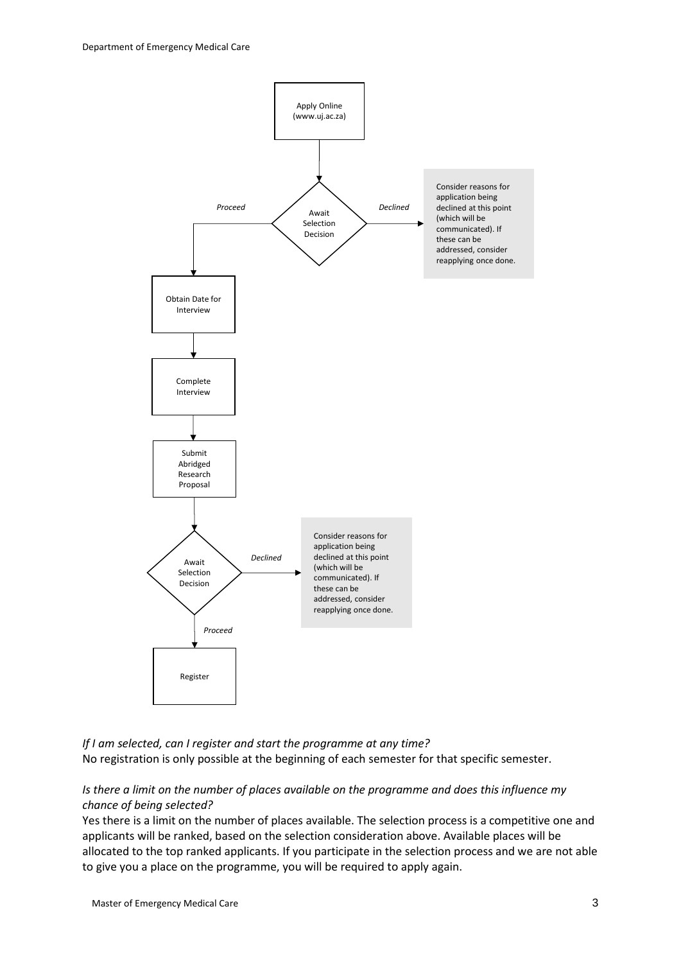

*If I am selected, can I register and start the programme at any time?* No registration is only possible at the beginning of each semester for that specific semester.

*Is there a limit on the number of places available on the programme and does this influence my chance of being selected?*

Yes there is a limit on the number of places available. The selection process is a competitive one and applicants will be ranked, based on the selection consideration above. Available places will be allocated to the top ranked applicants. If you participate in the selection process and we are not able to give you a place on the programme, you will be required to apply again.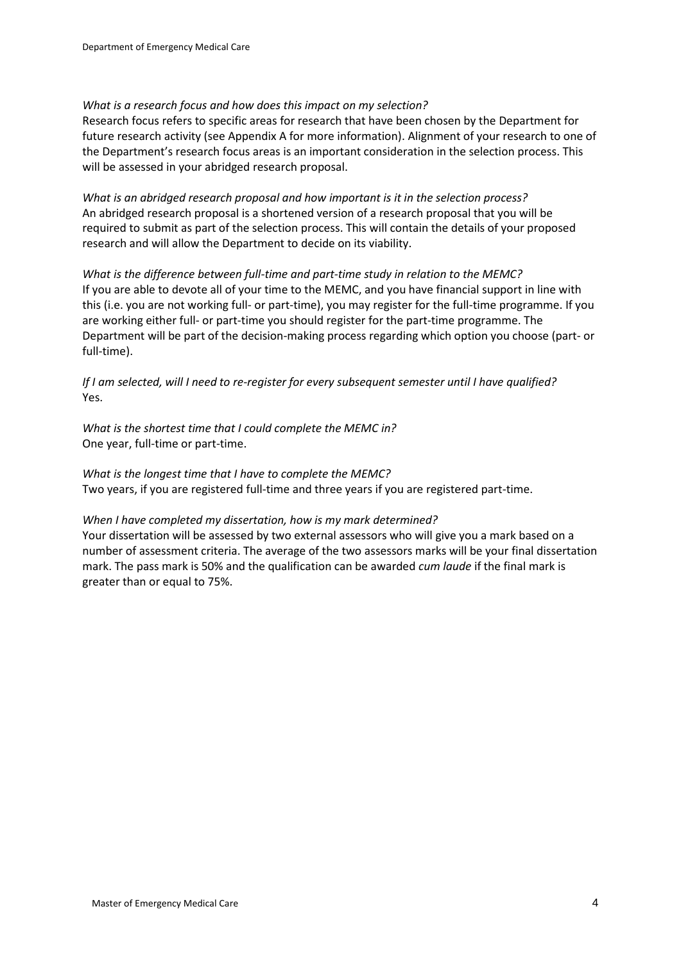### *What is a research focus and how does this impact on my selection?*

Research focus refers to specific areas for research that have been chosen by the Department for future research activity (see Appendix A for more information). Alignment of your research to one of the Department's research focus areas is an important consideration in the selection process. This will be assessed in your abridged research proposal.

*What is an abridged research proposal and how important is it in the selection process?* An abridged research proposal is a shortened version of a research proposal that you will be required to submit as part of the selection process. This will contain the details of your proposed research and will allow the Department to decide on its viability.

*What is the difference between full-time and part-time study in relation to the MEMC?* If you are able to devote all of your time to the MEMC, and you have financial support in line with this (i.e. you are not working full- or part-time), you may register for the full-time programme. If you are working either full- or part-time you should register for the part-time programme. The Department will be part of the decision-making process regarding which option you choose (part- or full-time).

*If I am selected, will I need to re-register for every subsequent semester until I have qualified?* Yes.

*What is the shortest time that I could complete the MEMC in?* One year, full-time or part-time.

*What is the longest time that I have to complete the MEMC?* Two years, if you are registered full-time and three years if you are registered part-time.

### *When I have completed my dissertation, how is my mark determined?*

Your dissertation will be assessed by two external assessors who will give you a mark based on a number of assessment criteria. The average of the two assessors marks will be your final dissertation mark. The pass mark is 50% and the qualification can be awarded *cum laude* if the final mark is greater than or equal to 75%.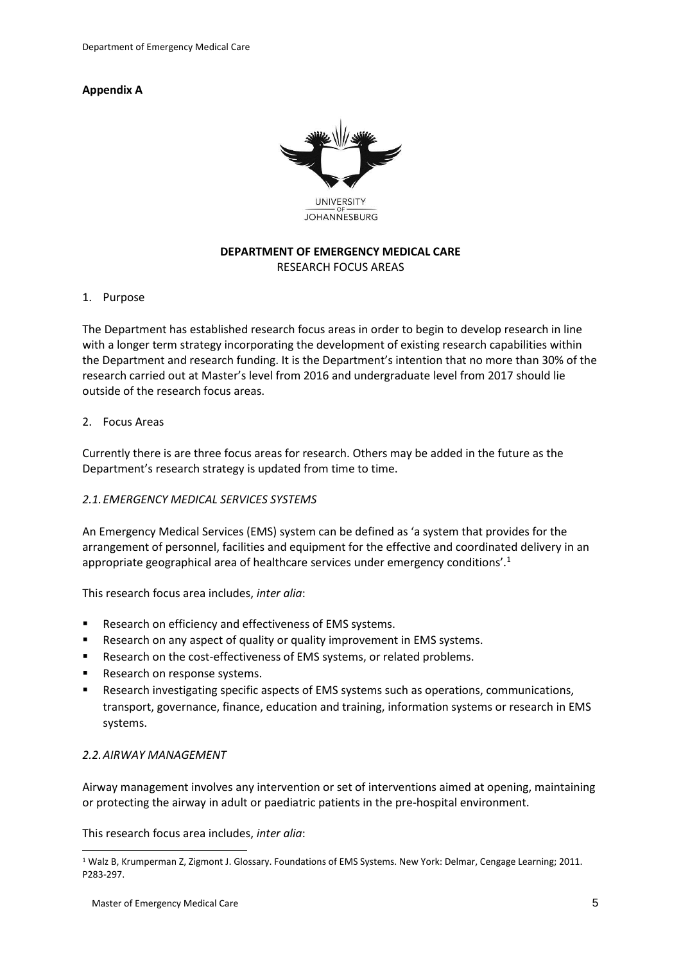## **Appendix A**



## **DEPARTMENT OF EMERGENCY MEDICAL CARE** RESEARCH FOCUS AREAS

### 1. Purpose

The Department has established research focus areas in order to begin to develop research in line with a longer term strategy incorporating the development of existing research capabilities within the Department and research funding. It is the Department's intention that no more than 30% of the research carried out at Master's level from 2016 and undergraduate level from 2017 should lie outside of the research focus areas.

### 2. Focus Areas

Currently there is are three focus areas for research. Others may be added in the future as the Department's research strategy is updated from time to time.

## *2.1.EMERGENCY MEDICAL SERVICES SYSTEMS*

An Emergency Medical Services (EMS) system can be defined as 'a system that provides for the arrangement of personnel, facilities and equipment for the effective and coordinated delivery in an appropriate geographical area of healthcare services under emergency conditions'.<sup>1</sup>

This research focus area includes, *inter alia*:

- **Research on efficiency and effectiveness of EMS systems.**
- Research on any aspect of quality or quality improvement in EMS systems.
- Research on the cost-effectiveness of EMS systems, or related problems.
- Research on response systems.
- Research investigating specific aspects of EMS systems such as operations, communications, transport, governance, finance, education and training, information systems or research in EMS systems.

## *2.2.AIRWAY MANAGEMENT*

-

Airway management involves any intervention or set of interventions aimed at opening, maintaining or protecting the airway in adult or paediatric patients in the pre-hospital environment.

This research focus area includes, *inter alia*:

<sup>1</sup> Walz B, Krumperman Z, Zigmont J. Glossary. Foundations of EMS Systems. New York: Delmar, Cengage Learning; 2011. P283-297.